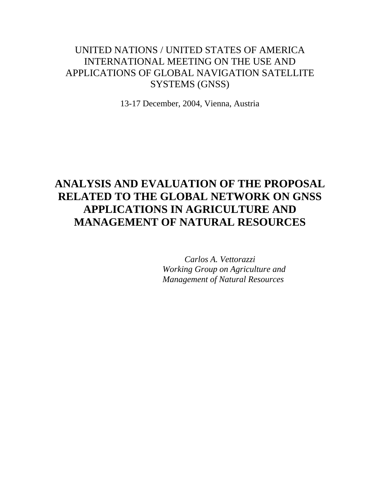### UNITED NATIONS / UNITED STATES OF AMERICA INTERNATIONAL MEETING ON THE USE AND APPLICATIONS OF GLOBAL NAVIGATION SATELLITE SYSTEMS (GNSS)

13-17 December, 2004, Vienna, Austria

# **ANALYSIS AND EVALUATION OF THE PROPOSAL RELATED TO THE GLOBAL NETWORK ON GNSS APPLICATIONS IN AGRICULTURE AND MANAGEMENT OF NATURAL RESOURCES**

*Carlos A. Vettorazzi Working Group on Agriculture and Management of Natural Resources*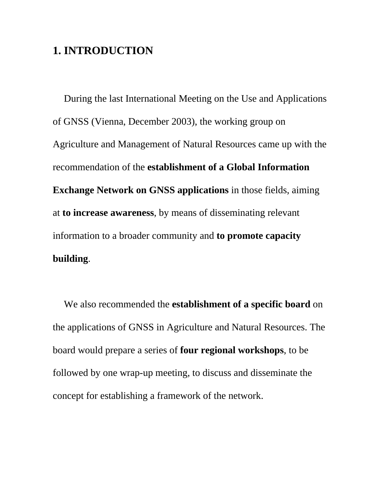## **1. INTRODUCTION**

During the last International Meeting on the Use and Applications of GNSS (Vienna, December 2003), the working group on Agriculture and Management of Natural Resources came up with the recommendation of the **establishment of a Global Information Exchange Network on GNSS applications** in those fields, aiming at **to increase awareness**, by means of disseminating relevant information to a broader community and **to promote capacity building**.

We also recommended the **establishment of a specific board** on the applications of GNSS in Agriculture and Natural Resources. The board would prepare a series of **four regional workshops**, to be followed by one wrap-up meeting, to discuss and disseminate the concept for establishing a framework of the network.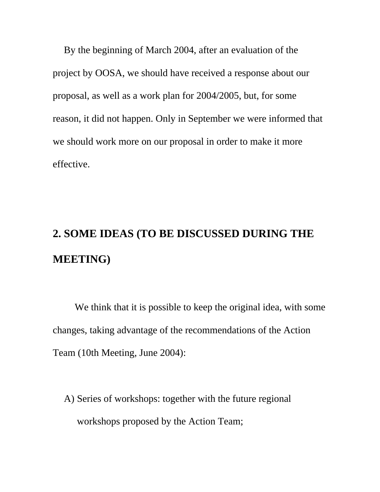By the beginning of March 2004, after an evaluation of the project by OOSA, we should have received a response about our proposal, as well as a work plan for 2004/2005, but, for some reason, it did not happen. Only in September we were informed that we should work more on our proposal in order to make it more effective.

# **2. SOME IDEAS (TO BE DISCUSSED DURING THE MEETING)**

 We think that it is possible to keep the original idea, with some changes, taking advantage of the recommendations of the Action Team (10th Meeting, June 2004):

A) Series of workshops: together with the future regional workshops proposed by the Action Team;